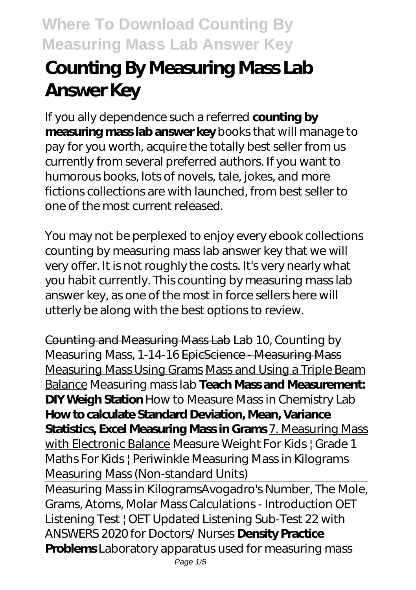# **Counting By Measuring Mass Lab Answer Key**

If you ally dependence such a referred **counting by measuring mass lab answer key** books that will manage to pay for you worth, acquire the totally best seller from us currently from several preferred authors. If you want to humorous books, lots of novels, tale, jokes, and more fictions collections are with launched, from best seller to one of the most current released.

You may not be perplexed to enjoy every ebook collections counting by measuring mass lab answer key that we will very offer. It is not roughly the costs. It's very nearly what you habit currently. This counting by measuring mass lab answer key, as one of the most in force sellers here will utterly be along with the best options to review.

Counting and Measuring Mass Lab *Lab 10, Counting by Measuring Mass, 1-14-16* EpicScience - Measuring Mass Measuring Mass Using Grams Mass and Using a Triple Beam Balance Measuring mass lab **Teach Mass and Measurement: DIY Weigh Station** *How to Measure Mass in Chemistry Lab* **How to calculate Standard Deviation, Mean, Variance Statistics, Excel Measuring Mass in Grams** 7. Measuring Mass with Electronic Balance *Measure Weight For Kids | Grade 1 Maths For Kids | Periwinkle Measuring Mass in Kilograms* Measuring Mass (Non-standard Units)

Measuring Mass in Kilograms*Avogadro's Number, The Mole, Grams, Atoms, Molar Mass Calculations - Introduction* OET Listening Test | OET Updated Listening Sub-Test 22 with ANSWERS 2020 for Doctors/ Nurses **Density Practice Problems** *Laboratory apparatus used for measuring mass* Page 1/5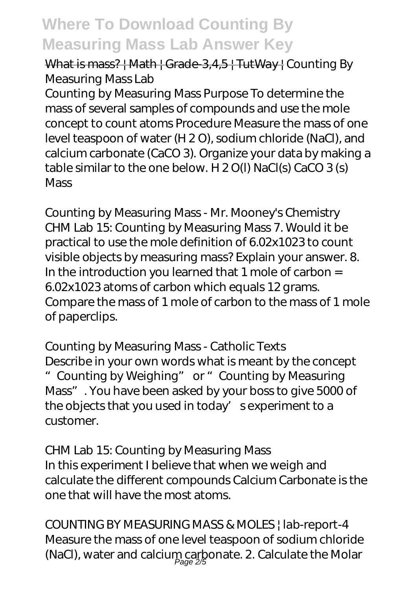## What is mass? | Math | Grade-3,4,5 | TutWay | *Counting By Measuring Mass Lab*

Counting by Measuring Mass Purpose To determine the mass of several samples of compounds and use the mole concept to count atoms Procedure Measure the mass of one level teaspoon of water (H 2 O), sodium chloride (NaCl), and calcium carbonate (CaCO 3). Organize your data by making a table similar to the one below. H 2 O(l) NaCl(s) CaCO 3 (s) **Mass** 

*Counting by Measuring Mass - Mr. Mooney's Chemistry* CHM Lab 15: Counting by Measuring Mass 7. Would it be practical to use the mole definition of 6.02x1023 to count visible objects by measuring mass? Explain your answer. 8. In the introduction you learned that 1 mole of carbon = 6.02x1023 atoms of carbon which equals 12 grams. Compare the mass of 1 mole of carbon to the mass of 1 mole of paperclips.

### *Counting by Measuring Mass - Catholic Texts*

Describe in your own words what is meant by the concept "Counting by Weighing" or "Counting by Measuring Mass". You have been asked by your boss to give 5000 of the objects that you used in today' sexperiment to a customer.

## *CHM Lab 15: Counting by Measuring Mass*

In this experiment I believe that when we weigh and calculate the different compounds Calcium Carbonate is the one that will have the most atoms.

*COUNTING BY MEASURING MASS & MOLES | lab-report-4* Measure the mass of one level teaspoon of sodium chloride (NaCl), water and calcium carbonate. 2. Calculate the Molar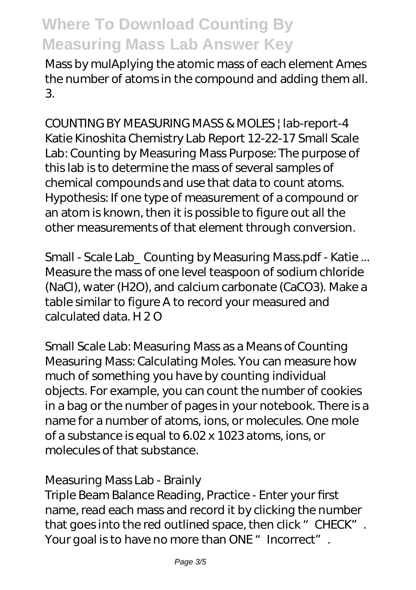Mass by mulAplying the atomic mass of each element Ames the number of atoms in the compound and adding them all. 3.

*COUNTING BY MEASURING MASS & MOLES | lab-report-4* Katie Kinoshita Chemistry Lab Report 12-22-17 Small Scale Lab: Counting by Measuring Mass Purpose: The purpose of this lab is to determine the mass of several samples of chemical compounds and use that data to count atoms. Hypothesis: If one type of measurement of a compound or an atom is known, then it is possible to figure out all the other measurements of that element through conversion.

*Small - Scale Lab\_ Counting by Measuring Mass.pdf - Katie ...* Measure the mass of one level teaspoon of sodium chloride (NaCl), water (H2O), and calcium carbonate (CaCO3). Make a table similar to figure A to record your measured and calculated data. H 2 O

*Small Scale Lab: Measuring Mass as a Means of Counting* Measuring Mass: Calculating Moles. You can measure how much of something you have by counting individual objects. For example, you can count the number of cookies in a bag or the number of pages in your notebook. There is a name for a number of atoms, ions, or molecules. One mole of a substance is equal to 6.02 x 1023 atoms, ions, or molecules of that substance.

#### *Measuring Mass Lab - Brainly*

Triple Beam Balance Reading, Practice - Enter your first name, read each mass and record it by clicking the number that goes into the red outlined space, then click "CHECK". Your goal is to have no more than ONE " Incorrect".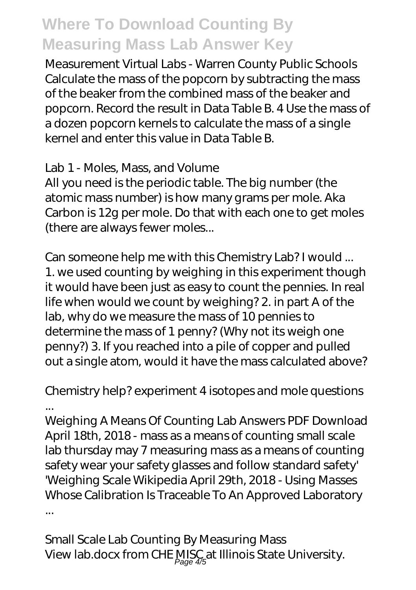*Measurement Virtual Labs - Warren County Public Schools* Calculate the mass of the popcorn by subtracting the mass of the beaker from the combined mass of the beaker and popcorn. Record the result in Data Table B. 4 Use the mass of a dozen popcorn kernels to calculate the mass of a single kernel and enter this value in Data Table B.

### *Lab 1 - Moles, Mass, and Volume*

All you need is the periodic table. The big number (the atomic mass number) is how many grams per mole. Aka Carbon is 12g per mole. Do that with each one to get moles (there are always fewer moles...

## *Can someone help me with this Chemistry Lab? I would ...*

1. we used counting by weighing in this experiment though it would have been just as easy to count the pennies. In real life when would we count by weighing? 2. in part A of the lab, why do we measure the mass of 10 pennies to determine the mass of 1 penny? (Why not its weigh one penny?) 3. If you reached into a pile of copper and pulled out a single atom, would it have the mass calculated above?

## *Chemistry help? experiment 4 isotopes and mole questions ...*

Weighing A Means Of Counting Lab Answers PDF Download April 18th, 2018 - mass as a means of counting small scale lab thursday may 7 measuring mass as a means of counting safety wear your safety glasses and follow standard safety' 'Weighing Scale Wikipedia April 29th, 2018 - Using Masses Whose Calibration Is Traceable To An Approved Laboratory ...

*Small Scale Lab Counting By Measuring Mass* View lab.docx from CHE MISC at Illinois State University.